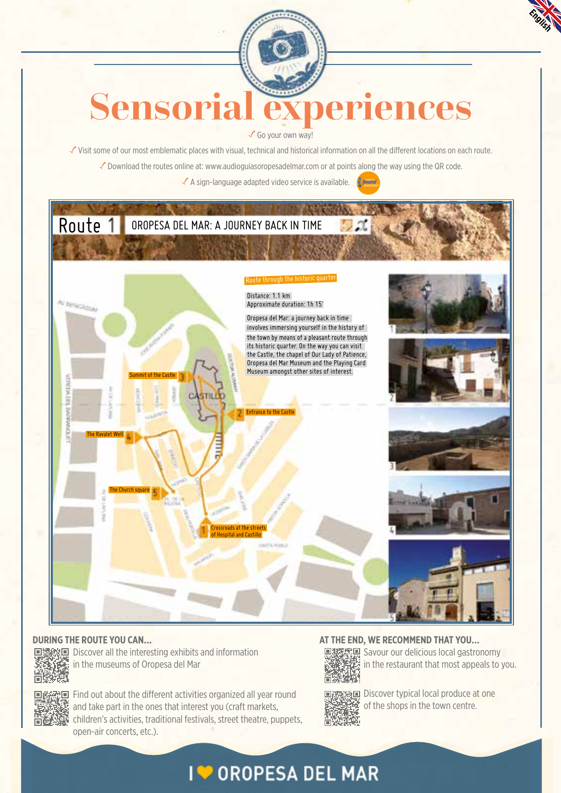

# **Sensorial experiences**

√ Go your own way!

Visit some of our most emblematic places with visual, technical and historical information on all the different locations on each route.

√ Download the routes online at: www.audioguiasoropesadelmar.com or at points along the way using the QR code.

 $\checkmark$  A sign-language adapted video service is available.



#### **DURING THE ROUTE YOU CAN…**



Discover all the interesting exhibits and information in the museums of Oropesa del Mar



Find out about the different activities organized all year round and take part in the ones that interest you (craft markets, children's activities, traditional festivals, street theatre, puppets, open-air concerts, etc.).

#### **AT THE END, WE RECOMMEND THAT YOU…**



**国鑑素** Savour our delicious local gastronomy in the restaurant that most appeals to you.



第回 Discover typical local produce at one of the shops in the town centre.

## **IV OROPESA DEL MAR**